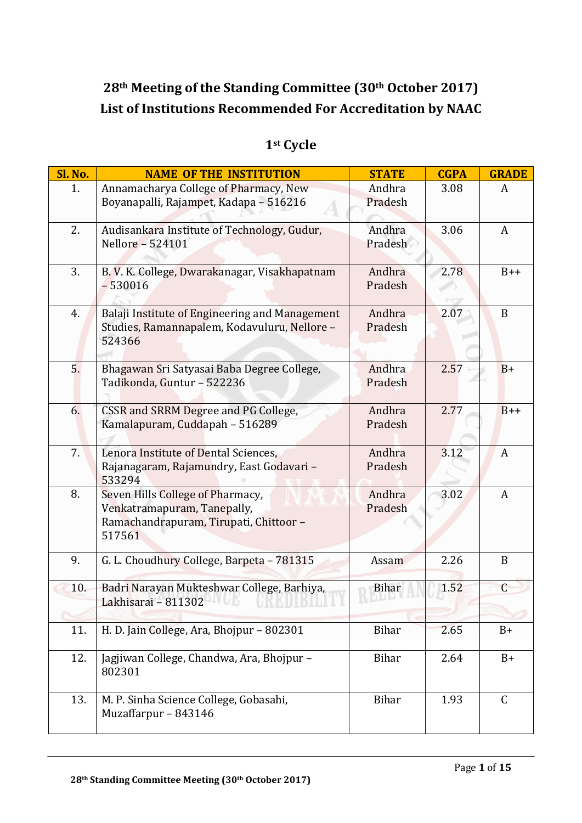## **28th Meeting of the Standing Committee (30th October 2017) List of Institutions Recommended For Accreditation by NAAC**

| <b>Sl. No.</b> | <b>NAME OF THE INSTITUTION</b>                                                                                      | <b>STATE</b>      | <b>CGPA</b> | <b>GRADE</b> |
|----------------|---------------------------------------------------------------------------------------------------------------------|-------------------|-------------|--------------|
| 1.             | Annamacharya College of Pharmacy, New<br>Boyanapalli, Rajampet, Kadapa - 516216                                     | Andhra<br>Pradesh | 3.08        | A            |
| 2.             | Audisankara Institute of Technology, Gudur,<br>Nellore - 524101                                                     | Andhra<br>Pradesh | 3.06        | A            |
| 3.             | B. V. K. College, Dwarakanagar, Visakhapatnam<br>$-530016$                                                          | Andhra<br>Pradesh | 2.78        | $B++$        |
| 4.             | Balaji Institute of Engineering and Management<br>Studies, Ramannapalem, Kodavuluru, Nellore -<br>524366            | Andhra<br>Pradesh | 2.07        | $\mathbf B$  |
| 5.             | Bhagawan Sri Satyasai Baba Degree College,<br>Tadikonda, Guntur - 522236                                            | Andhra<br>Pradesh | 2.57        | $B+$         |
| 6.             | CSSR and SRRM Degree and PG College,<br>Kamalapuram, Cuddapah - 516289                                              | Andhra<br>Pradesh | 2.77        | $B++$        |
| 7.             | Lenora Institute of Dental Sciences,<br>Rajanagaram, Rajamundry, East Godavari -<br>533294                          | Andhra<br>Pradesh | 3.12        | A            |
| 8.             | Seven Hills College of Pharmacy,<br>Venkatramapuram, Tanepally,<br>Ramachandrapuram, Tirupati, Chittoor -<br>517561 | Andhra<br>Pradesh | 3.02        | A            |
| 9.             | G. L. Choudhury College, Barpeta - 781315                                                                           | Assam             | 2.26        | B            |
| 10.            | Badri Narayan Mukteshwar College, Barhiya,<br>Lakhisarai - 811302<br>0 U U LU LU LU L                               | <b>Bihar</b>      | 1.52        | $\mathsf{C}$ |
| 11.            | H. D. Jain College, Ara, Bhojpur - 802301                                                                           | <b>Bihar</b>      | 2.65        | $B+$         |
| 12.            | Jagjiwan College, Chandwa, Ara, Bhojpur -<br>802301                                                                 | <b>Bihar</b>      | 2.64        | $B+$         |
| 13.            | M. P. Sinha Science College, Gobasahi,<br>Muzaffarpur - 843146                                                      | Bihar             | 1.93        | $\mathsf C$  |

## **1st Cycle**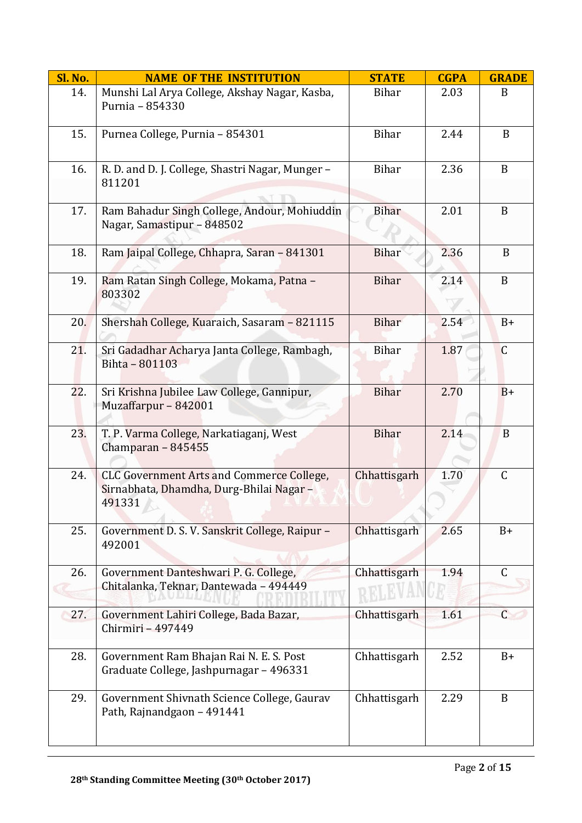| <b>Sl. No.</b> | <b>NAME OF THE INSTITUTION</b>                                                                         | <b>STATE</b> | <b>CGPA</b> | <b>GRADE</b> |
|----------------|--------------------------------------------------------------------------------------------------------|--------------|-------------|--------------|
| 14.            | Munshi Lal Arya College, Akshay Nagar, Kasba,<br>Purnia - 854330                                       | Bihar        | 2.03        | B            |
| 15.            | Purnea College, Purnia - 854301                                                                        | Bihar        | 2.44        | B            |
| 16.            | R. D. and D. J. College, Shastri Nagar, Munger -<br>811201                                             | Bihar        | 2.36        | B            |
| 17.            | Ram Bahadur Singh College, Andour, Mohiuddin<br>Nagar, Samastipur - 848502                             | <b>Bihar</b> | 2.01        | B            |
| 18.            | Ram Jaipal College, Chhapra, Saran - 841301                                                            | <b>Bihar</b> | 2.36        | $\mathbf B$  |
| 19.            | Ram Ratan Singh College, Mokama, Patna -<br>803302                                                     | <b>Bihar</b> | 2.14        | $\mathbf{B}$ |
| 20.            | Shershah College, Kuaraich, Sasaram - 821115                                                           | <b>Bihar</b> | 2.54        | $B+$         |
| 21.            | Sri Gadadhar Acharya Janta College, Rambagh,<br>Bihta - 801103                                         | <b>Bihar</b> | 1.87        | $\mathsf{C}$ |
| 22.            | Sri Krishna Jubilee Law College, Gannipur,<br>Muzaffarpur - 842001                                     | <b>Bihar</b> | 2.70        | $B+$         |
| 23.            | T. P. Varma College, Narkatiaganj, West<br>Champaran - 845455                                          | <b>Bihar</b> | 2.14        | B            |
| 24.            | <b>CLC Government Arts and Commerce College,</b><br>Sirnabhata, Dhamdha, Durg-Bhilai Nagar -<br>491331 | Chhattisgarh | 1.70        | C            |
| 25.            | Government D. S. V. Sanskrit College, Raipur -<br>492001                                               | Chhattisgarh | 2.65        | $B+$         |
| 26.            | Government Danteshwari P. G. College,<br>Chitalanka, Teknar, Dantewada - 494449                        | Chhattisgarh | 1.94        | $\mathsf{C}$ |
| 27.            | Government Lahiri College, Bada Bazar,<br>Chirmiri - 497449                                            | Chhattisgarh | 1.61        | $\mathsf{C}$ |
| 28.            | Government Ram Bhajan Rai N. E. S. Post<br>Graduate College, Jashpurnagar - 496331                     | Chhattisgarh | 2.52        | $B+$         |
| 29.            | Government Shivnath Science College, Gaurav<br>Path, Rajnandgaon - 491441                              | Chhattisgarh | 2.29        | B            |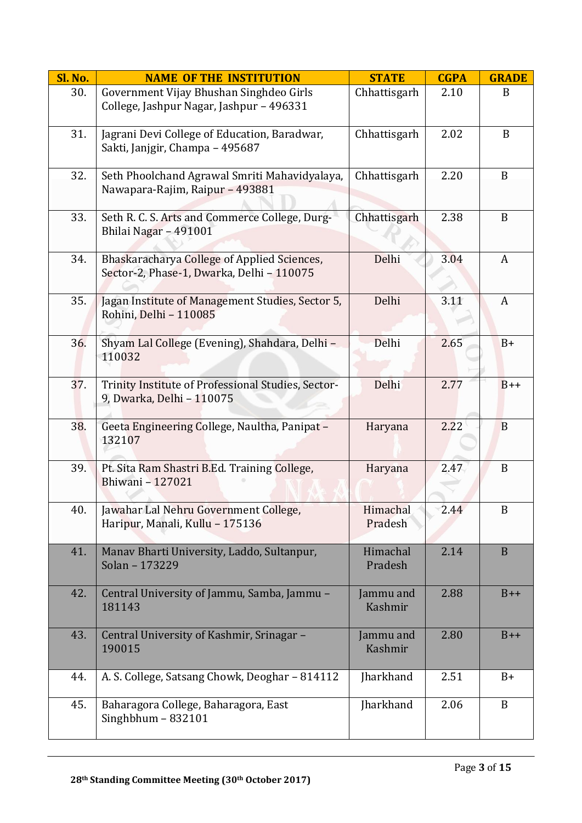| Sl. No. | <b>NAME OF THE INSTITUTION</b>                                                           | <b>STATE</b>         | <b>CGPA</b> | <b>GRADE</b> |
|---------|------------------------------------------------------------------------------------------|----------------------|-------------|--------------|
| 30.     | Government Vijay Bhushan Singhdeo Girls<br>College, Jashpur Nagar, Jashpur - 496331      | Chhattisgarh         | 2.10        | B            |
| 31.     | Jagrani Devi College of Education, Baradwar,<br>Sakti, Janjgir, Champa - 495687          | Chhattisgarh         | 2.02        | B            |
| 32.     | Seth Phoolchand Agrawal Smriti Mahavidyalaya,<br>Nawapara-Rajim, Raipur - 493881         | Chhattisgarh         | 2.20        | B            |
| 33.     | Seth R. C. S. Arts and Commerce College, Durg-<br>Bhilai Nagar - 491001                  | Chhattisgarh         | 2.38        | B            |
| 34.     | Bhaskaracharya College of Applied Sciences,<br>Sector-2, Phase-1, Dwarka, Delhi - 110075 | Delhi                | 3.04        | A            |
| 35.     | Jagan Institute of Management Studies, Sector 5,<br>Rohini, Delhi - 110085               | Delhi                | 3.11        | A            |
| 36.     | Shyam Lal College (Evening), Shahdara, Delhi -<br>110032                                 | Delhi                | 2.65        | $B+$         |
| 37.     | Trinity Institute of Professional Studies, Sector-<br>9, Dwarka, Delhi - 110075          | Delhi                | 2.77        | $B++$        |
| 38.     | Geeta Engineering College, Naultha, Panipat -<br>132107                                  | Haryana              | 2.22        | B            |
| 39.     | Pt. Sita Ram Shastri B.Ed. Training College,<br>Bhiwani - 127021                         | Haryana              | 2.47        | B            |
| 40.     | Jawahar Lal Nehru Government College,<br>Haripur, Manali, Kullu - 175136                 | Himachal<br>Pradesh  | 2.44        | $\, {\bf B}$ |
| 41.     | Manav Bharti University, Laddo, Sultanpur,<br>Solan - 173229                             | Himachal<br>Pradesh  | 2.14        | $\mathbf{B}$ |
| 42.     | Central University of Jammu, Samba, Jammu -<br>181143                                    | Jammu and<br>Kashmir | 2.88        | $B++$        |
| 43.     | Central University of Kashmir, Srinagar -<br>190015                                      | Jammu and<br>Kashmir | 2.80        | $B++$        |
| 44.     | A. S. College, Satsang Chowk, Deoghar - 814112                                           | Jharkhand            | 2.51        | $B+$         |
| 45.     | Baharagora College, Baharagora, East<br>Singhbhum $-832101$                              | Jharkhand            | 2.06        | B            |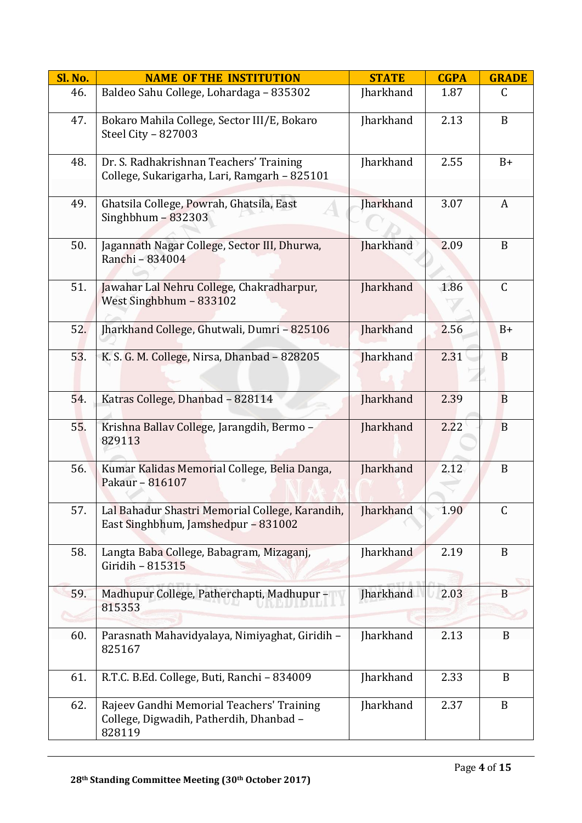| <b>Sl. No.</b> | <b>NAME OF THE INSTITUTION</b>                                                                 | <b>STATE</b>     | <b>CGPA</b> | <b>GRADE</b> |
|----------------|------------------------------------------------------------------------------------------------|------------------|-------------|--------------|
| 46.            | Baldeo Sahu College, Lohardaga - 835302                                                        | Jharkhand        | 1.87        | $\mathsf{C}$ |
| 47.            | Bokaro Mahila College, Sector III/E, Bokaro<br>Steel City - 827003                             | Jharkhand        | 2.13        | $\mathbf B$  |
| 48.            | Dr. S. Radhakrishnan Teachers' Training<br>College, Sukarigarha, Lari, Ramgarh - 825101        | Jharkhand        | 2.55        | $B+$         |
| 49.            | Ghatsila College, Powrah, Ghatsila, East<br>Singhbhum $-832303$                                | <b>Jharkhand</b> | 3.07        | A            |
| 50.            | Jagannath Nagar College, Sector III, Dhurwa,<br>Ranchi - 834004                                | <b>Jharkhand</b> | 2.09        | B            |
| 51.            | Jawahar Lal Nehru College, Chakradharpur,<br>West Singhbhum - 833102                           | Jharkhand        | 1.86        | $\mathsf C$  |
| 52.            | Jharkhand College, Ghutwali, Dumri - 825106                                                    | Jharkhand        | 2.56        | $B+$         |
| 53.            | K. S. G. M. College, Nirsa, Dhanbad - 828205                                                   | <b>Iharkhand</b> | 2.31        | B            |
| 54.            | Katras College, Dhanbad - 828114                                                               | Jharkhand        | 2.39        | $\mathbf{B}$ |
| 55.            | Krishna Ballav College, Jarangdih, Bermo -<br>829113                                           | Jharkhand        | 2.22        | B            |
| 56.            | Kumar Kalidas Memorial College, Belia Danga,<br>Pakaur - 816107                                | Jharkhand        | 2.12        | B            |
| 57.            | Lal Bahadur Shastri Memorial College, Karandih,<br>East Singhbhum, Jamshedpur - 831002         | Jharkhand        | 1.90        | $\mathsf C$  |
| 58.            | Langta Baba College, Babagram, Mizaganj,<br>Giridih - 815315                                   | Jharkhand        | 2.19        | $\mathbf{B}$ |
| 59.            | Madhupur College, Patherchapti, Madhupur -<br>815353                                           | <b>Iharkhand</b> | 2.03        | B            |
| 60.            | Parasnath Mahavidyalaya, Nimiyaghat, Giridih -<br>825167                                       | Jharkhand        | 2.13        | B            |
| 61.            | R.T.C. B.Ed. College, Buti, Ranchi - 834009                                                    | Jharkhand        | 2.33        | B            |
| 62.            | Rajeev Gandhi Memorial Teachers' Training<br>College, Digwadih, Patherdih, Dhanbad -<br>828119 | Jharkhand        | 2.37        | B            |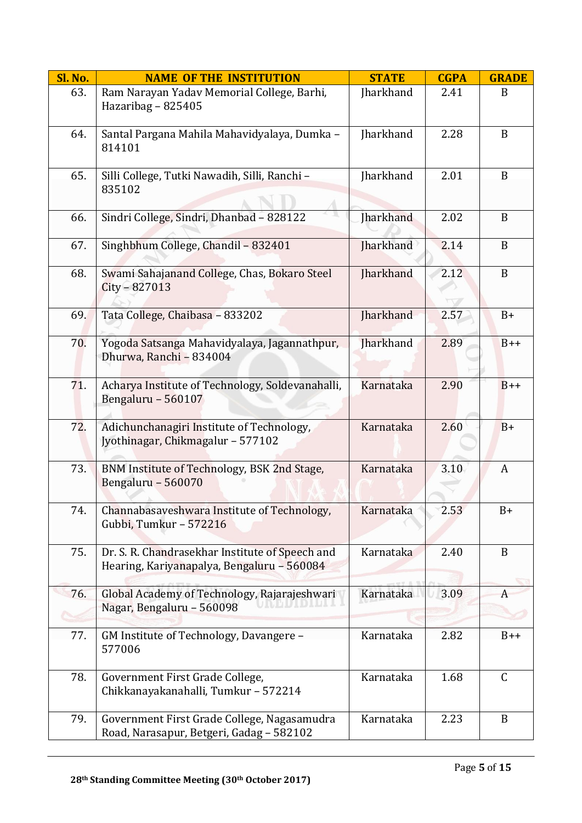| Sl. No. | <b>NAME OF THE INSTITUTION</b>                                                                | <b>STATE</b>     | <b>CGPA</b> | <b>GRADE</b> |
|---------|-----------------------------------------------------------------------------------------------|------------------|-------------|--------------|
| 63.     | Ram Narayan Yadav Memorial College, Barhi,<br>Hazaribag - 825405                              | Jharkhand        | 2.41        | B            |
| 64.     | Santal Pargana Mahila Mahavidyalaya, Dumka -<br>814101                                        | Jharkhand        | 2.28        | B            |
| 65.     | Silli College, Tutki Nawadih, Silli, Ranchi -<br>835102                                       | Jharkhand        | 2.01        | $\mathbf B$  |
| 66.     | Sindri College, Sindri, Dhanbad - 828122                                                      | Jharkhand        | 2.02        | B            |
| 67.     | Singhbhum College, Chandil - 832401                                                           | Jharkhand        | 2.14        | B            |
| 68.     | Swami Sahajanand College, Chas, Bokaro Steel<br>City - 827013                                 | <b>Jharkhand</b> | 2.12        | $\mathbf B$  |
| 69.     | Tata College, Chaibasa - 833202                                                               | Jharkhand        | 2.57        | $B+$         |
| 70.     | Yogoda Satsanga Mahavidyalaya, Jagannathpur,<br>Dhurwa, Ranchi - 834004                       | <b>Jharkhand</b> | 2.89        | $B++$        |
| 71.     | Acharya Institute of Technology, Soldevanahalli,<br>Bengaluru - 560107                        | Karnataka        | 2.90        | $B++$        |
| 72.     | Adichunchanagiri Institute of Technology,<br>Jyothinagar, Chikmagalur - 577102                | Karnataka        | 2.60        | $B+$         |
| 73.     | BNM Institute of Technology, BSK 2nd Stage,<br>Bengaluru - 560070                             | Karnataka        | 3.10        | A            |
| 74.     | Channabasaveshwara Institute of Technology,<br>Gubbi, Tumkur - 572216                         | Karnataka        | 2.53        | $B+$         |
| 75.     | Dr. S. R. Chandrasekhar Institute of Speech and<br>Hearing, Kariyanapalya, Bengaluru - 560084 | Karnataka        | 2.40        | B            |
| 76.     | Global Academy of Technology, Rajarajeshwari<br>Nagar, Bengaluru - 560098                     | Karnataka        | 3.09        | A            |
| 77.     | GM Institute of Technology, Davangere -<br>577006                                             | Karnataka        | 2.82        | $B++$        |
| 78.     | Government First Grade College,<br>Chikkanayakanahalli, Tumkur - 572214                       | Karnataka        | 1.68        | C            |
| 79.     | Government First Grade College, Nagasamudra<br>Road, Narasapur, Betgeri, Gadag - 582102       | Karnataka        | 2.23        | B            |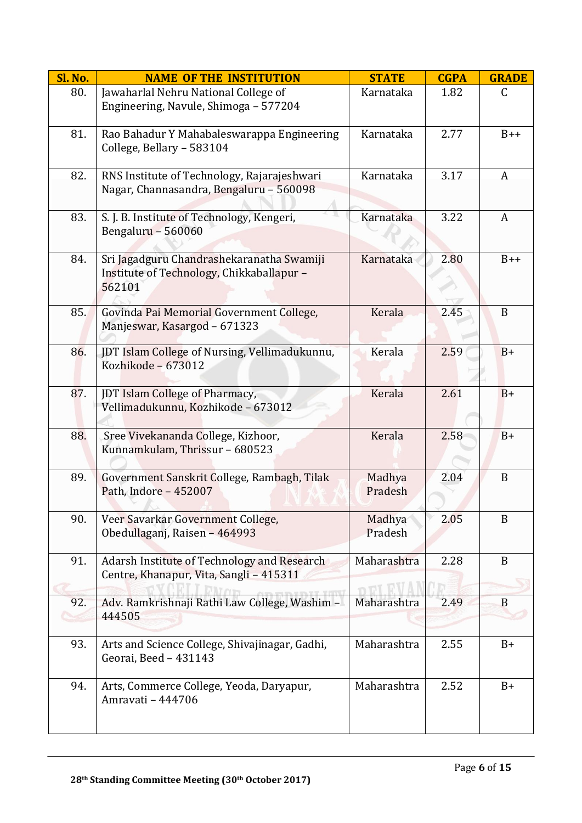| <b>Sl. No.</b> | <b>NAME OF THE INSTITUTION</b>                                                                   | <b>STATE</b>      | <b>CGPA</b> | <b>GRADE</b>  |
|----------------|--------------------------------------------------------------------------------------------------|-------------------|-------------|---------------|
| 80.            | Jawaharlal Nehru National College of<br>Engineering, Navule, Shimoga - 577204                    | Karnataka         | 1.82        | $\mathcal{C}$ |
| 81.            | Rao Bahadur Y Mahabaleswarappa Engineering<br>College, Bellary - 583104                          | Karnataka         | 2.77        | $B++$         |
| 82.            | RNS Institute of Technology, Rajarajeshwari<br>Nagar, Channasandra, Bengaluru - 560098           | Karnataka         | 3.17        | A             |
| 83.            | S. J. B. Institute of Technology, Kengeri,<br>Bengaluru - 560060                                 | Karnataka         | 3.22        | A             |
| 84.            | Sri Jagadguru Chandrashekaranatha Swamiji<br>Institute of Technology, Chikkaballapur -<br>562101 | Karnataka         | 2.80        | $B++$         |
| 85.            | Govinda Pai Memorial Government College,<br>Manjeswar, Kasargod - 671323                         | Kerala            | 2.45        | B             |
| 86.            | JDT Islam College of Nursing, Vellimadukunnu,<br>Kozhikode - 673012                              | Kerala            | 2.59        | $B+$          |
| 87.            | JDT Islam College of Pharmacy,<br>Vellimadukunnu, Kozhikode - 673012                             | Kerala            | 2.61        | $B+$          |
| 88.            | Sree Vivekananda College, Kizhoor,<br>Kunnamkulam, Thrissur - 680523                             | Kerala            | 2.58        | $B+$          |
| 89.            | Government Sanskrit College, Rambagh, Tilak<br>Path, Indore - 452007                             | Madhya<br>Pradesh | 2.04        | B             |
| 90.            | Veer Savarkar Government College,<br>Obedullaganj, Raisen - 464993                               | Madhya<br>Pradesh | 2.05        | B             |
| 91.            | Adarsh Institute of Technology and Research<br>Centre, Khanapur, Vita, Sangli - 415311           | Maharashtra       | 2.28        | B             |
| 92.            | Adv. Ramkrishnaji Rathi Law College, Washim -<br>444505                                          | Maharashtra       | 2.49        | B             |
| 93.            | Arts and Science College, Shivajinagar, Gadhi,<br>Georai, Beed - 431143                          | Maharashtra       | 2.55        | $B+$          |
| 94.            | Arts, Commerce College, Yeoda, Daryapur,<br>Amravati - 444706                                    | Maharashtra       | 2.52        | $B+$          |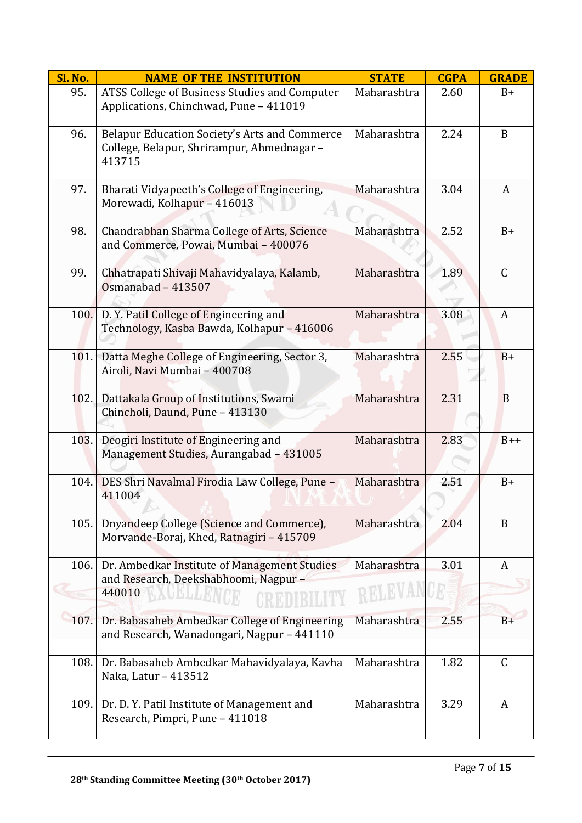| Sl. No. | <b>NAME OF THE INSTITUTION</b>                                                                                                                             | <b>STATE</b> | <b>CGPA</b> | <b>GRADE</b> |
|---------|------------------------------------------------------------------------------------------------------------------------------------------------------------|--------------|-------------|--------------|
| 95.     | ATSS College of Business Studies and Computer<br>Applications, Chinchwad, Pune - 411019                                                                    | Maharashtra  | 2.60        | $B+$         |
| 96.     | Belapur Education Society's Arts and Commerce<br>College, Belapur, Shrirampur, Ahmednagar -<br>413715                                                      | Maharashtra  | 2.24        | B            |
| 97.     | Bharati Vidyapeeth's College of Engineering,<br>Morewadi, Kolhapur - 416013                                                                                | Maharashtra  | 3.04        | A            |
| 98.     | Chandrabhan Sharma College of Arts, Science<br>and Commerce, Powai, Mumbai - 400076                                                                        | Maharashtra  | 2.52        | $B+$         |
| 99.     | Chhatrapati Shivaji Mahavidyalaya, Kalamb,<br>Osmanabad - 413507                                                                                           | Maharashtra  | 1.89        | $\mathsf C$  |
| 100.    | D.Y. Patil College of Engineering and<br>Technology, Kasba Bawda, Kolhapur - 416006                                                                        | Maharashtra  | 3.08        | A            |
| 101.    | Datta Meghe College of Engineering, Sector 3,<br>Airoli, Navi Mumbai - 400708                                                                              | Maharashtra  | 2.55        | $B+$         |
| 102.    | Dattakala Group of Institutions, Swami<br>Chincholi, Daund, Pune - 413130                                                                                  | Maharashtra  | 2.31        | B            |
| 103.    | Deogiri Institute of Engineering and<br>Management Studies, Aurangabad - 431005                                                                            | Maharashtra  | 2.83        | $B++$        |
| 104.    | DES Shri Navalmal Firodia Law College, Pune -<br>411004                                                                                                    | Maharashtra  | 2.51        | $B+$         |
| 105.    | Dnyandeep College (Science and Commerce),<br>Morvande-Boraj, Khed, Ratnagiri - 415709                                                                      | Maharashtra  | 2.04        | B            |
| 106.    | Dr. Ambedkar Institute of Management Studies<br>and Research, Deekshabhoomi, Nagpur -<br>440010<br>$\mathcal{K}\setminus \cup \mathcal{L}$ , $\mathcal{L}$ | Maharashtra  | 3.01        | A            |
| 107.    | Dr. Babasaheb Ambedkar College of Engineering<br>and Research, Wanadongari, Nagpur - 441110                                                                | Maharashtra  | 2.55        | $B+$         |
| 108.    | Dr. Babasaheb Ambedkar Mahavidyalaya, Kavha<br>Naka, Latur - 413512                                                                                        | Maharashtra  | 1.82        | $\mathsf C$  |
| 109.    | Dr. D. Y. Patil Institute of Management and<br>Research, Pimpri, Pune - 411018                                                                             | Maharashtra  | 3.29        | A            |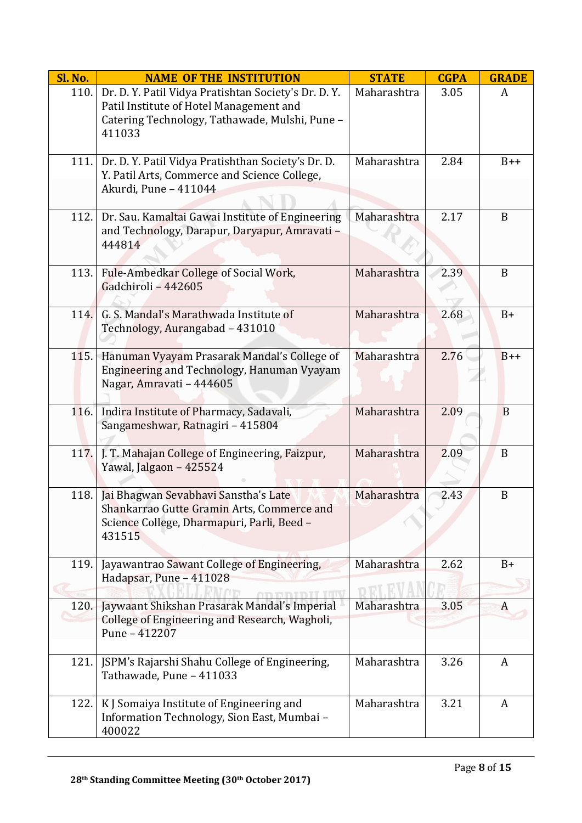| Sl. No. | <b>NAME OF THE INSTITUTION</b>                                                                                                                              | <b>STATE</b> | <b>CGPA</b> | <b>GRADE</b> |
|---------|-------------------------------------------------------------------------------------------------------------------------------------------------------------|--------------|-------------|--------------|
| 110.    | Dr. D. Y. Patil Vidya Pratishtan Society's Dr. D. Y.<br>Patil Institute of Hotel Management and<br>Catering Technology, Tathawade, Mulshi, Pune -<br>411033 | Maharashtra  | 3.05        | A            |
| 111.    | Dr. D. Y. Patil Vidya Pratishthan Society's Dr. D.<br>Y. Patil Arts, Commerce and Science College,<br>Akurdi, Pune - 411044                                 | Maharashtra  | 2.84        | $B++$        |
| 112.    | Dr. Sau. Kamaltai Gawai Institute of Engineering<br>and Technology, Darapur, Daryapur, Amravati -<br>444814                                                 | Maharashtra  | 2.17        | B            |
| 113.    | Fule-Ambedkar College of Social Work,<br>Gadchiroli - 442605                                                                                                | Maharashtra  | 2.39        | B            |
| 114.    | G. S. Mandal's Marathwada Institute of<br>Technology, Aurangabad - 431010                                                                                   | Maharashtra  | 2.68        | $B+$         |
| 115.    | Hanuman Vyayam Prasarak Mandal's College of<br>Engineering and Technology, Hanuman Vyayam<br>Nagar, Amravati - 444605                                       | Maharashtra  | 2.76        | $B++$        |
| 116.    | Indira Institute of Pharmacy, Sadavali,<br>Sangameshwar, Ratnagiri - 415804                                                                                 | Maharashtra  | 2.09        | B            |
| 117.    | J. T. Mahajan College of Engineering, Faizpur,<br>Yawal, Jalgaon - 425524                                                                                   | Maharashtra  | 2.09        | B            |
| 118.    | Jai Bhagwan Sevabhavi Sanstha's Late<br>Shankarrao Gutte Gramin Arts, Commerce and<br>Science College, Dharmapuri, Parli, Beed -<br>431515                  | Maharashtra  | 2.43        | B            |
| 119.    | Jayawantrao Sawant College of Engineering,<br>Hadapsar, Pune - 411028                                                                                       | Maharashtra  | 2.62        | $B+$         |
| 120.    | Jaywaant Shikshan Prasarak Mandal's Imperial<br>College of Engineering and Research, Wagholi,<br>Pune - 412207                                              | Maharashtra  | 3.05        | A            |
| 121.    | JSPM's Rajarshi Shahu College of Engineering,<br>Tathawade, Pune - 411033                                                                                   | Maharashtra  | 3.26        | A            |
| 122.    | K J Somaiya Institute of Engineering and<br>Information Technology, Sion East, Mumbai -<br>400022                                                           | Maharashtra  | 3.21        | A            |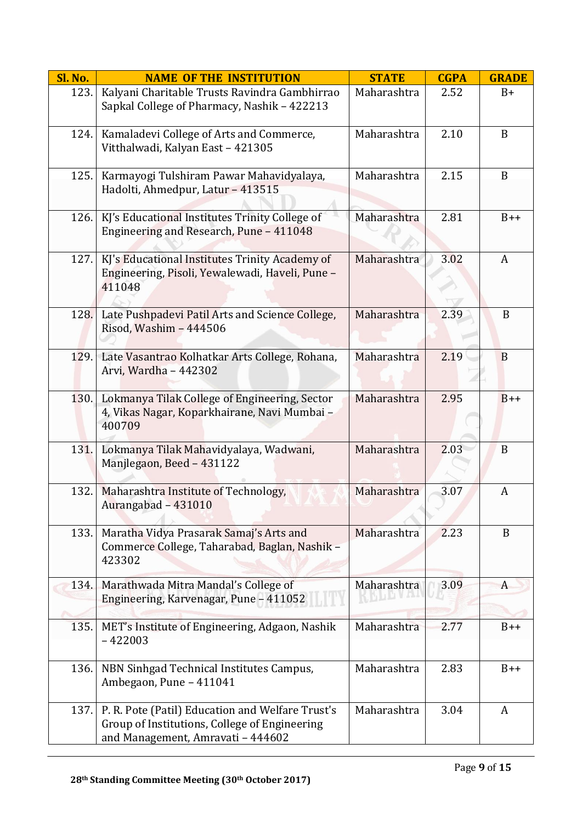| Sl. No. | <b>NAME OF THE INSTITUTION</b>                                                                                                         | <b>STATE</b> | <b>CGPA</b> | <b>GRADE</b> |
|---------|----------------------------------------------------------------------------------------------------------------------------------------|--------------|-------------|--------------|
| 123.    | Kalyani Charitable Trusts Ravindra Gambhirrao<br>Sapkal College of Pharmacy, Nashik - 422213                                           | Maharashtra  | 2.52        | $B+$         |
| 124.    | Kamaladevi College of Arts and Commerce,<br>Vitthalwadi, Kalyan East - 421305                                                          | Maharashtra  | 2.10        | B            |
| 125.    | Karmayogi Tulshiram Pawar Mahavidyalaya,<br>Hadolti, Ahmedpur, Latur - 413515                                                          | Maharashtra  | 2.15        | $\mathbf{B}$ |
| 126.    | KJ's Educational Institutes Trinity College of<br>Engineering and Research, Pune - 411048                                              | Maharashtra  | 2.81        | $B++$        |
| 127.    | KJ's Educational Institutes Trinity Academy of<br>Engineering, Pisoli, Yewalewadi, Haveli, Pune -<br>411048                            | Maharashtra  | 3.02        | A            |
| 128.    | Late Pushpadevi Patil Arts and Science College,<br>Risod, Washim - 444506                                                              | Maharashtra  | 2.39        | B            |
| 129.    | Late Vasantrao Kolhatkar Arts College, Rohana,<br>Arvi, Wardha - 442302                                                                | Maharashtra  | 2.19        | B            |
| 130.    | Lokmanya Tilak College of Engineering, Sector<br>4, Vikas Nagar, Koparkhairane, Navi Mumbai -<br>400709                                | Maharashtra  | 2.95        | $B++$        |
| 131.    | Lokmanya Tilak Mahavidyalaya, Wadwani,<br>Manjlegaon, Beed - 431122                                                                    | Maharashtra  | 2.03        | B            |
| 132.    | Maharashtra Institute of Technology,<br>Aurangabad – 431010                                                                            | Maharashtra  | 3.07        | A            |
| 133.    | Maratha Vidya Prasarak Samaj's Arts and<br>Commerce College, Taharabad, Baglan, Nashik -<br>423302                                     | Maharashtra  | 2.23        | B            |
| 134.    | Marathwada Mitra Mandal's College of<br>Engineering, Karvenagar, Pune - 411052                                                         | Maharashtra  | 3.09        | A            |
| 135.    | MET's Institute of Engineering, Adgaon, Nashik<br>$-422003$                                                                            | Maharashtra  | 2.77        | $B++$        |
| 136.    | NBN Sinhgad Technical Institutes Campus,<br>Ambegaon, Pune - 411041                                                                    | Maharashtra  | 2.83        | $B++$        |
| 137.    | P. R. Pote (Patil) Education and Welfare Trust's<br>Group of Institutions, College of Engineering<br>and Management, Amravati - 444602 | Maharashtra  | 3.04        | A            |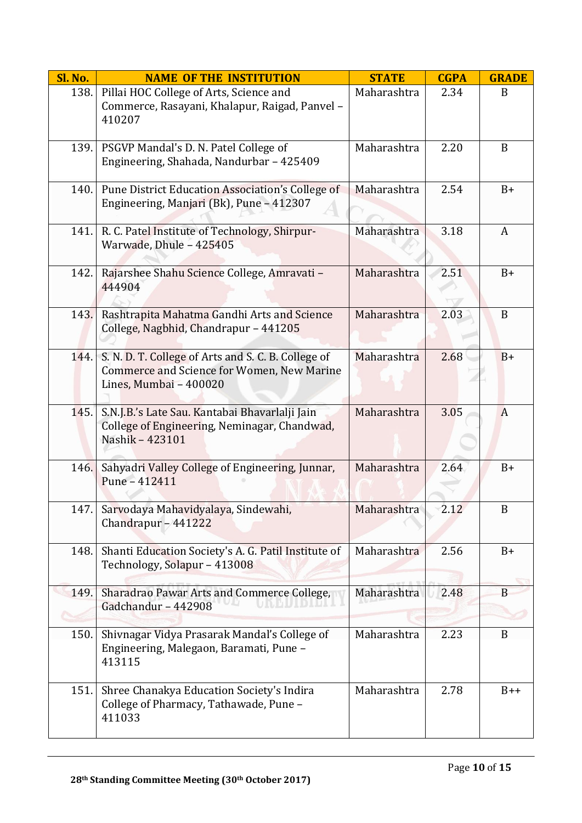| Sl. No. | <b>NAME OF THE INSTITUTION</b>                                                                                              | <b>STATE</b> | <b>CGPA</b> | <b>GRADE</b> |
|---------|-----------------------------------------------------------------------------------------------------------------------------|--------------|-------------|--------------|
| 138.    | Pillai HOC College of Arts, Science and<br>Commerce, Rasayani, Khalapur, Raigad, Panvel -<br>410207                         | Maharashtra  | 2.34        | B            |
| 139.    | PSGVP Mandal's D. N. Patel College of<br>Engineering, Shahada, Nandurbar - 425409                                           | Maharashtra  | 2.20        | B            |
| 140.    | Pune District Education Association's College of<br>Engineering, Manjari (Bk), Pune - 412307                                | Maharashtra  | 2.54        | $B+$         |
| 141.    | R. C. Patel Institute of Technology, Shirpur-<br>Warwade, Dhule - 425405                                                    | Maharashtra  | 3.18        | A            |
| 142.    | Rajarshee Shahu Science College, Amravati -<br>444904                                                                       | Maharashtra  | 2.51        | $B+$         |
| 143.    | Rashtrapita Mahatma Gandhi Arts and Science<br>College, Nagbhid, Chandrapur - 441205                                        | Maharashtra  | 2.03        | B            |
| 144.    | S. N. D. T. College of Arts and S. C. B. College of<br>Commerce and Science for Women, New Marine<br>Lines, Mumbai - 400020 | Maharashtra  | 2.68        | $B+$         |
| 145.    | S.N.J.B.'s Late Sau. Kantabai Bhavarlalji Jain<br>College of Engineering, Neminagar, Chandwad,<br>Nashik - 423101           | Maharashtra  | 3.05        | $\bf{A}$     |
| 146.    | Sahyadri Valley College of Engineering, Junnar,<br>Pune - 412411                                                            | Maharashtra  | 2.64        | $B+$         |
| 147.    | Sarvodaya Mahavidyalaya, Sindewahi,<br>Chandrapur - 441222                                                                  | Maharashtra  | 2.12        | $\, {\bf B}$ |
| 148.    | Shanti Education Society's A. G. Patil Institute of<br>Technology, Solapur - 413008                                         | Maharashtra  | 2.56        | $B+$         |
| 149.    | Sharadrao Pawar Arts and Commerce College,<br>Gadchandur - 442908                                                           | Maharashtra  | 2.48        | B            |
| 150.    | Shivnagar Vidya Prasarak Mandal's College of<br>Engineering, Malegaon, Baramati, Pune -<br>413115                           | Maharashtra  | 2.23        | B            |
| 151.    | Shree Chanakya Education Society's Indira<br>College of Pharmacy, Tathawade, Pune -<br>411033                               | Maharashtra  | 2.78        | $B++$        |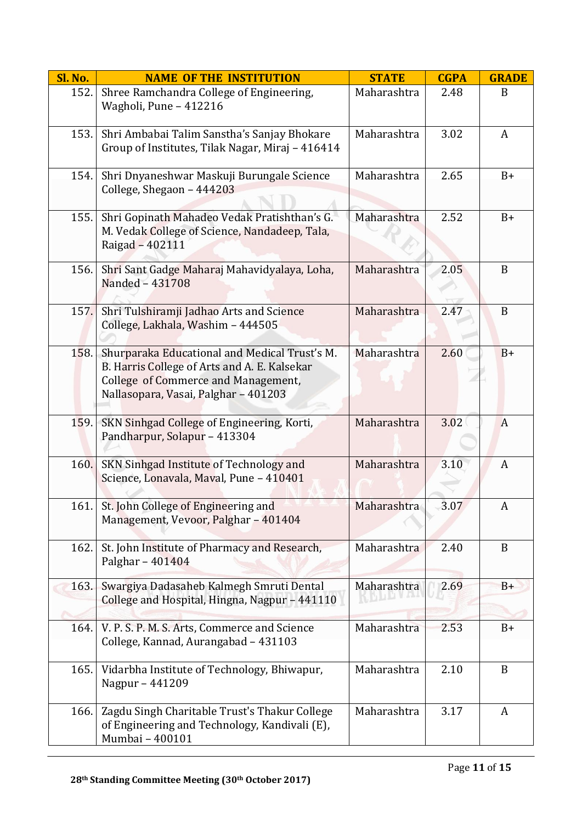| Sl. No. | <b>NAME OF THE INSTITUTION</b>                                                                                                                                               | <b>STATE</b> | <b>CGPA</b> | <b>GRADE</b>     |
|---------|------------------------------------------------------------------------------------------------------------------------------------------------------------------------------|--------------|-------------|------------------|
| 152.    | Shree Ramchandra College of Engineering,<br>Wagholi, Pune - 412216                                                                                                           | Maharashtra  | 2.48        | B                |
| 153.    | Shri Ambabai Talim Sanstha's Sanjay Bhokare<br>Group of Institutes, Tilak Nagar, Miraj - 416414                                                                              | Maharashtra  | 3.02        | A                |
| 154.    | Shri Dnyaneshwar Maskuji Burungale Science<br>College, Shegaon - 444203                                                                                                      | Maharashtra  | 2.65        | $B+$             |
| 155.    | Shri Gopinath Mahadeo Vedak Pratishthan's G.<br>M. Vedak College of Science, Nandadeep, Tala,<br>Raigad - 402111                                                             | Maharashtra  | 2.52        | $B+$             |
| 156.    | Shri Sant Gadge Maharaj Mahavidyalaya, Loha,<br>Nanded - 431708                                                                                                              | Maharashtra  | 2.05        | B                |
| 157.    | Shri Tulshiramji Jadhao Arts and Science<br>College, Lakhala, Washim - 444505                                                                                                | Maharashtra  | 2.47        | B                |
| 158.    | Shurparaka Educational and Medical Trust's M.<br>B. Harris College of Arts and A. E. Kalsekar<br>College of Commerce and Management,<br>Nallasopara, Vasai, Palghar - 401203 | Maharashtra  | 2.60        | $B+$             |
| 159.    | SKN Sinhgad College of Engineering, Korti,<br>Pandharpur, Solapur - 413304                                                                                                   | Maharashtra  | 3.02        | $\boldsymbol{A}$ |
| 160.    | SKN Sinhgad Institute of Technology and<br>Science, Lonavala, Maval, Pune - 410401                                                                                           | Maharashtra  | 3.10        | A                |
| 161.    | St. John College of Engineering and<br>Management, Vevoor, Palghar - 401404                                                                                                  | Maharashtra  | 3.07        | A                |
| 162.    | St. John Institute of Pharmacy and Research,<br>Palghar - 401404                                                                                                             | Maharashtra  | 2.40        | B                |
| 163.    | Swargiya Dadasaheb Kalmegh Smruti Dental<br>College and Hospital, Hingna, Nagpur - 441110                                                                                    | Maharashtra  | 2.69        | $B+$             |
| 164.    | V. P. S. P. M. S. Arts, Commerce and Science<br>College, Kannad, Aurangabad - 431103                                                                                         | Maharashtra  | 2.53        | $B+$             |
| 165.    | Vidarbha Institute of Technology, Bhiwapur,<br>Nagpur - 441209                                                                                                               | Maharashtra  | 2.10        | B                |
| 166.    | Zagdu Singh Charitable Trust's Thakur College<br>of Engineering and Technology, Kandivali (E),<br>Mumbai - 400101                                                            | Maharashtra  | 3.17        | A                |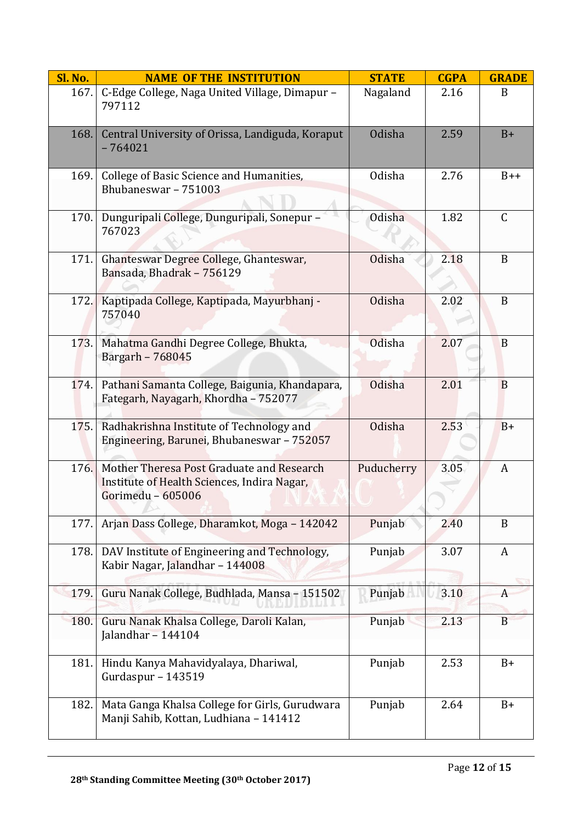| Sl. No. | <b>NAME OF THE INSTITUTION</b>                                                                                | <b>STATE</b>  | <b>CGPA</b> | <b>GRADE</b>  |
|---------|---------------------------------------------------------------------------------------------------------------|---------------|-------------|---------------|
| 167.    | C-Edge College, Naga United Village, Dimapur -<br>797112                                                      | Nagaland      | 2.16        | B             |
| 168.    | Central University of Orissa, Landiguda, Koraput<br>$-764021$                                                 | Odisha        | 2.59        | $B+$          |
| 169.    | College of Basic Science and Humanities,<br>Bhubaneswar - 751003                                              | Odisha        | 2.76        | $B++$         |
| 170.    | Dunguripali College, Dunguripali, Sonepur -<br>767023                                                         | <b>Odisha</b> | 1.82        | $\mathcal{C}$ |
| 171.    | Ghanteswar Degree College, Ghanteswar,<br>Bansada, Bhadrak - 756129                                           | Odisha        | 2.18        | B             |
| 172.    | Kaptipada College, Kaptipada, Mayurbhanj -<br>757040                                                          | Odisha        | 2.02        | B             |
| 173.    | Mahatma Gandhi Degree College, Bhukta,<br>Bargarh - 768045                                                    | <b>Odisha</b> | 2.07        | B             |
| 174.    | Pathani Samanta College, Baigunia, Khandapara,<br>Fategarh, Nayagarh, Khordha - 752077                        | <b>Odisha</b> | 2.01        | B             |
| 175.    | Radhakrishna Institute of Technology and<br>Engineering, Barunei, Bhubaneswar - 752057                        | <b>Odisha</b> | 2.53        | $B+$          |
| 176.    | Mother Theresa Post Graduate and Research<br>Institute of Health Sciences, Indira Nagar,<br>Gorimedu - 605006 | Puducherry    | 3.05        | A             |
| 177.    | Arjan Dass College, Dharamkot, Moga - 142042                                                                  | Punjab        | 2.40        | B             |
| 178.    | DAV Institute of Engineering and Technology,<br>Kabir Nagar, Jalandhar - 144008                               | Punjab        | 3.07        | A             |
| 179.    | Guru Nanak College, Budhlada, Mansa - 151502                                                                  | Punjab        | 3.10        | A             |
| 180.    | Guru Nanak Khalsa College, Daroli Kalan,<br>Jalandhar - $144104$                                              | Punjab        | 2.13        | B             |
| 181.    | Hindu Kanya Mahavidyalaya, Dhariwal,<br>Gurdaspur - 143519                                                    | Punjab        | 2.53        | $B+$          |
| 182.    | Mata Ganga Khalsa College for Girls, Gurudwara<br>Manji Sahib, Kottan, Ludhiana - 141412                      | Punjab        | 2.64        | $B+$          |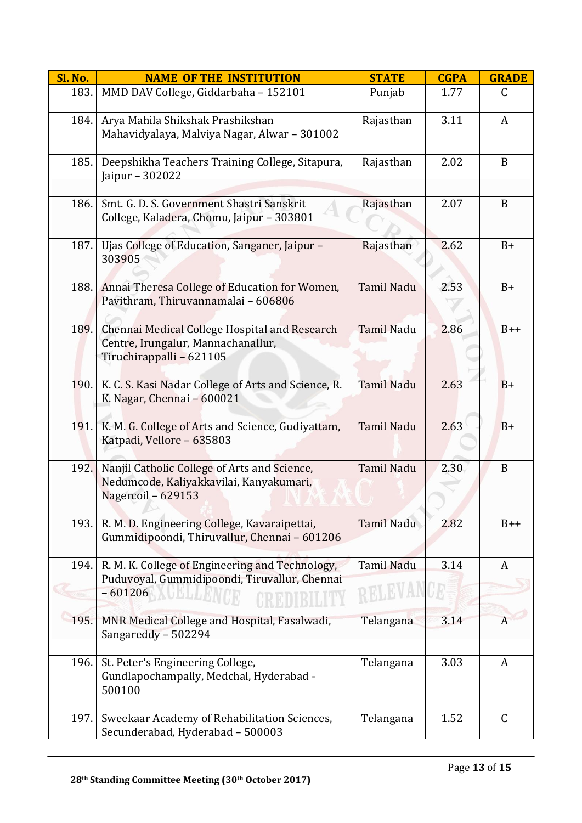| Sl. No. | <b>NAME OF THE INSTITUTION</b>                                                                                  | <b>STATE</b>      | <b>CGPA</b> | <b>GRADE</b> |
|---------|-----------------------------------------------------------------------------------------------------------------|-------------------|-------------|--------------|
| 183.    | MMD DAV College, Giddarbaha - 152101                                                                            | Punjab            | 1.77        | $\mathsf{C}$ |
| 184.    | Arya Mahila Shikshak Prashikshan<br>Mahavidyalaya, Malviya Nagar, Alwar - 301002                                | Rajasthan         | 3.11        | A            |
| 185.    | Deepshikha Teachers Training College, Sitapura,<br>Jaipur - 302022                                              | Rajasthan         | 2.02        | B            |
| 186.    | Smt. G. D. S. Government Shastri Sanskrit<br>College, Kaladera, Chomu, Jaipur - 303801                          | Rajasthan         | 2.07        | $\mathbf B$  |
| 187.    | Ujas College of Education, Sanganer, Jaipur -<br>303905                                                         | Rajasthan         | 2.62        | $B+$         |
| 188.    | Annai Theresa College of Education for Women,<br>Pavithram, Thiruvannamalai - 606806                            | <b>Tamil Nadu</b> | 2.53        | $B+$         |
| 189.    | Chennai Medical College Hospital and Research<br>Centre, Irungalur, Mannachanallur,<br>Tiruchirappalli - 621105 | <b>Tamil Nadu</b> | 2.86        | $B++$        |
| 190.    | K. C. S. Kasi Nadar College of Arts and Science, R.<br>K. Nagar, Chennai - 600021                               | <b>Tamil Nadu</b> | 2.63        | $B+$         |
| 191.    | K. M. G. College of Arts and Science, Gudiyattam,<br>Katpadi, Vellore - 635803                                  | <b>Tamil Nadu</b> | 2.63        | $B+$         |
| 192.    | Nanjil Catholic College of Arts and Science,<br>Nedumcode, Kaliyakkavilai, Kanyakumari,<br>Nagercoil - 629153   | <b>Tamil Nadu</b> | 2.30        | B            |
| 193.    | R. M. D. Engineering College, Kavaraipettai,<br>Gummidipoondi, Thiruvallur, Chennai - 601206                    | <b>Tamil Nadu</b> | 2.82        | $B++$        |
| 194.    | R. M. K. College of Engineering and Technology,<br>Puduvoyal, Gummidipoondi, Tiruvallur, Chennai<br>$-601206$   | <b>Tamil Nadu</b> | 3.14        | A            |
| 195.    | MNR Medical College and Hospital, Fasalwadi,<br>Sangareddy - 502294                                             | Telangana         | 3.14        | A            |
| 196.    | St. Peter's Engineering College,<br>Gundlapochampally, Medchal, Hyderabad -<br>500100                           | Telangana         | 3.03        | A            |
| 197.    | Sweekaar Academy of Rehabilitation Sciences,<br>Secunderabad, Hyderabad - 500003                                | Telangana         | 1.52        | C            |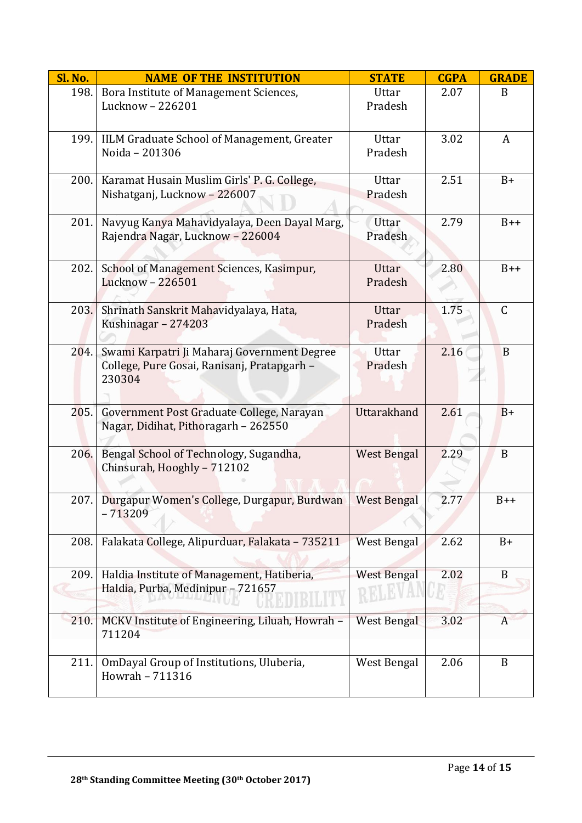| <b>Sl. No.</b> | <b>NAME OF THE INSTITUTION</b>                                                                       | <b>STATE</b>            | <b>CGPA</b> | <b>GRADE</b> |
|----------------|------------------------------------------------------------------------------------------------------|-------------------------|-------------|--------------|
| 198.           | Bora Institute of Management Sciences,<br>Lucknow - 226201                                           | Uttar<br>Pradesh        | 2.07        | B            |
| 199.           | IILM Graduate School of Management, Greater<br>Noida - 201306                                        | Uttar<br>Pradesh        | 3.02        | A            |
| 200.           | Karamat Husain Muslim Girls' P. G. College,<br>Nishatganj, Lucknow - 226007                          | Uttar<br>Pradesh        | 2.51        | $B+$         |
| 201.           | Navyug Kanya Mahavidyalaya, Deen Dayal Marg,<br>Rajendra Nagar, Lucknow - 226004                     | Uttar<br>Pradesh        | 2.79        | $B++$        |
| 202.           | School of Management Sciences, Kasimpur,<br>Lucknow - 226501                                         | Uttar<br>Pradesh        | 2.80        | $B++$        |
| 203.           | Shrinath Sanskrit Mahavidyalaya, Hata,<br>Kushinagar - 274203                                        | <b>Uttar</b><br>Pradesh | 1.75        | $\mathsf{C}$ |
| 204.           | Swami Karpatri Ji Maharaj Government Degree<br>College, Pure Gosai, Ranisanj, Pratapgarh -<br>230304 | Uttar<br>Pradesh        | 2.16        | $\mathbf B$  |
| 205.           | Government Post Graduate College, Narayan<br>Nagar, Didihat, Pithoragarh - 262550                    | Uttarakhand             | 2.61        | $B+$         |
| 206.           | Bengal School of Technology, Sugandha,<br>Chinsurah, Hooghly - 712102                                | <b>West Bengal</b>      | 2.29        | B            |
| 207.           | Durgapur Women's College, Durgapur, Burdwan<br>$-713209$                                             | <b>West Bengal</b>      | 2.77        | $B++$        |
| 208.           | Falakata College, Alipurduar, Falakata - 735211                                                      | <b>West Bengal</b>      | 2.62        | $B+$         |
| 209.           | Haldia Institute of Management, Hatiberia,<br>Haldia, Purba, Medinipur - 721657                      | <b>West Bengal</b>      | 2.02        | B            |
| 210.           | MCKV Institute of Engineering, Liluah, Howrah -<br>711204                                            | <b>West Bengal</b>      | 3.02        | A            |
| 211.           | OmDayal Group of Institutions, Uluberia,<br>Howrah - 711316                                          | West Bengal             | 2.06        | B            |